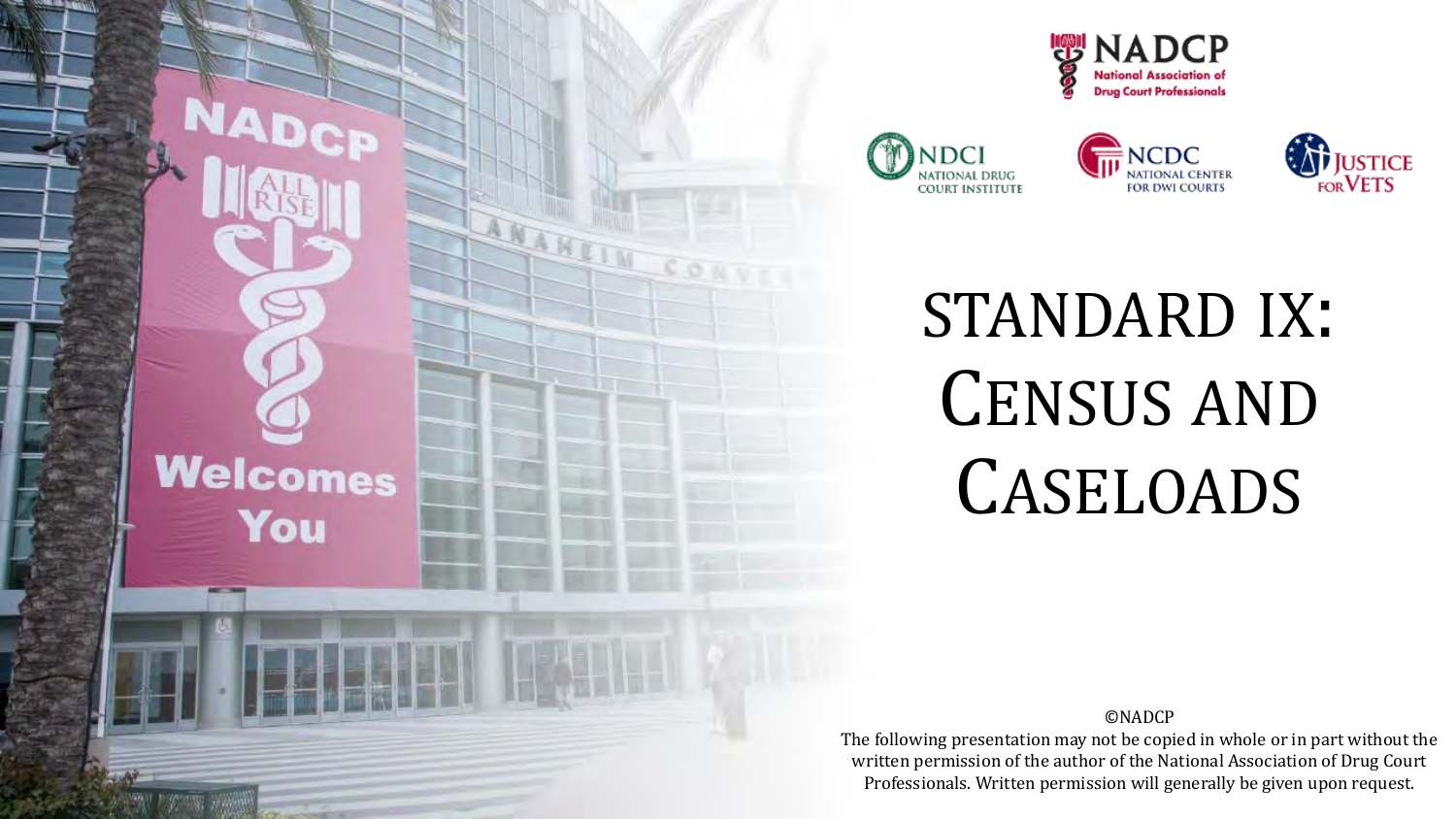









### STANDARD IX: CENSUS AND CASELOADS

©NADCP

The following presentation may not be copied in whole or in part without the written permission of the author of the National Association of Drug Court Professionals. Written permission will generally be given upon request.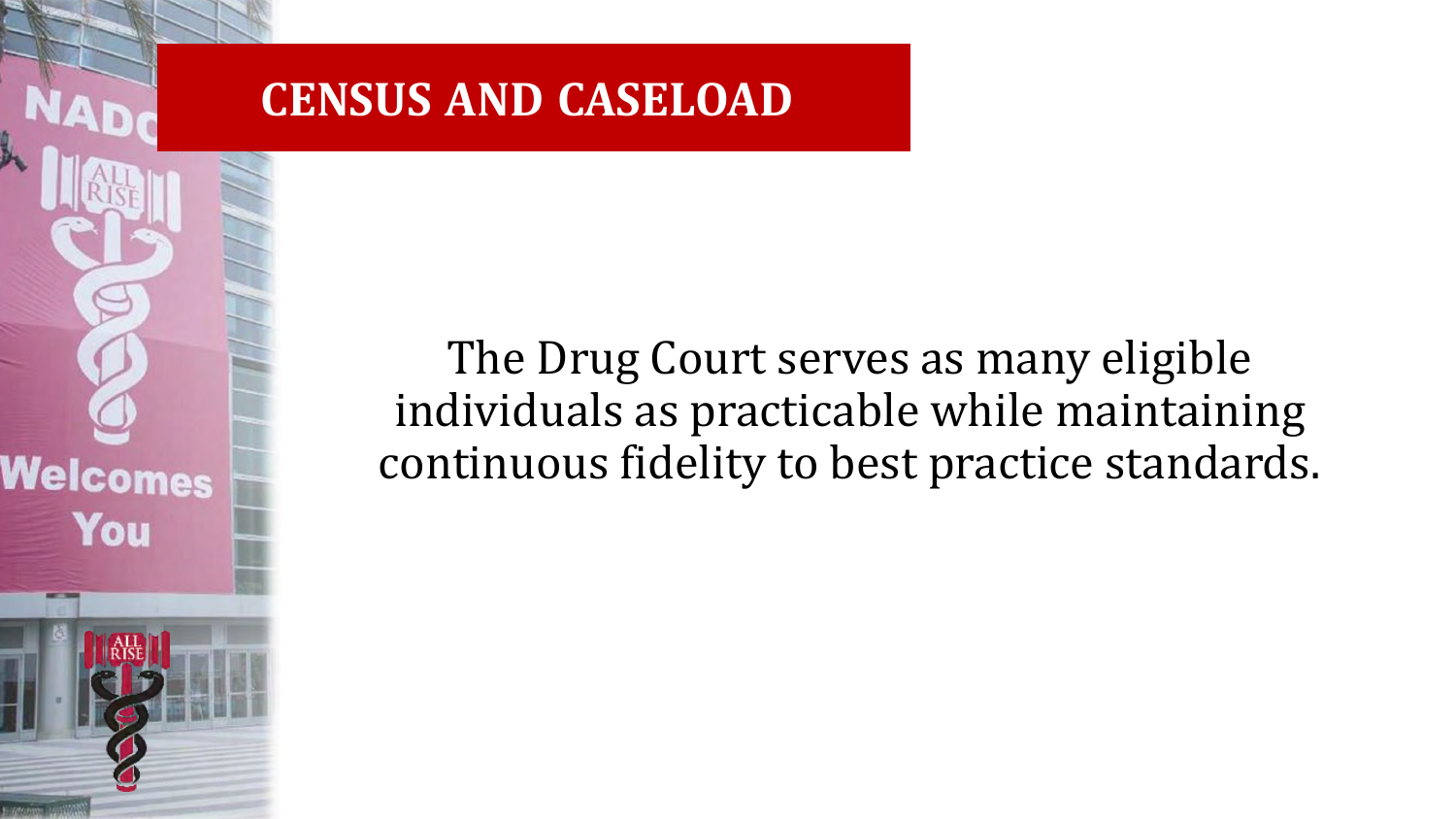#### **CENSUS AND CASELOAD**

Welcomes

You

The Drug Court serves as many eligible individuals as practicable while maintaining continuous fidelity to best practice standards.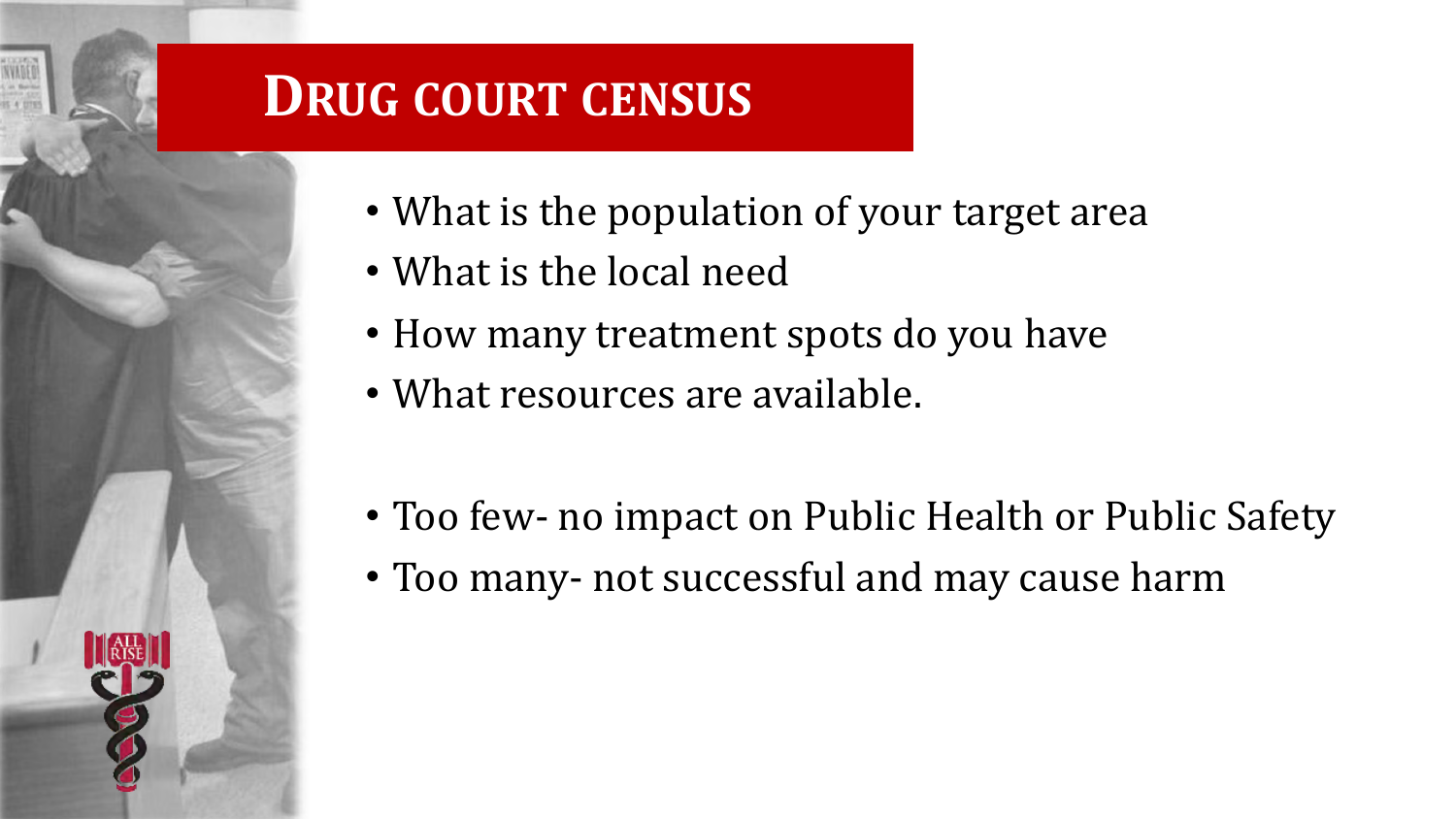#### **DRUG COURT CENSUS**

- What is the population of your target area
- What is the local need
- How many treatment spots do you have
- What resources are available.
- Too few- no impact on Public Health or Public Safety
- Too many- not successful and may cause harm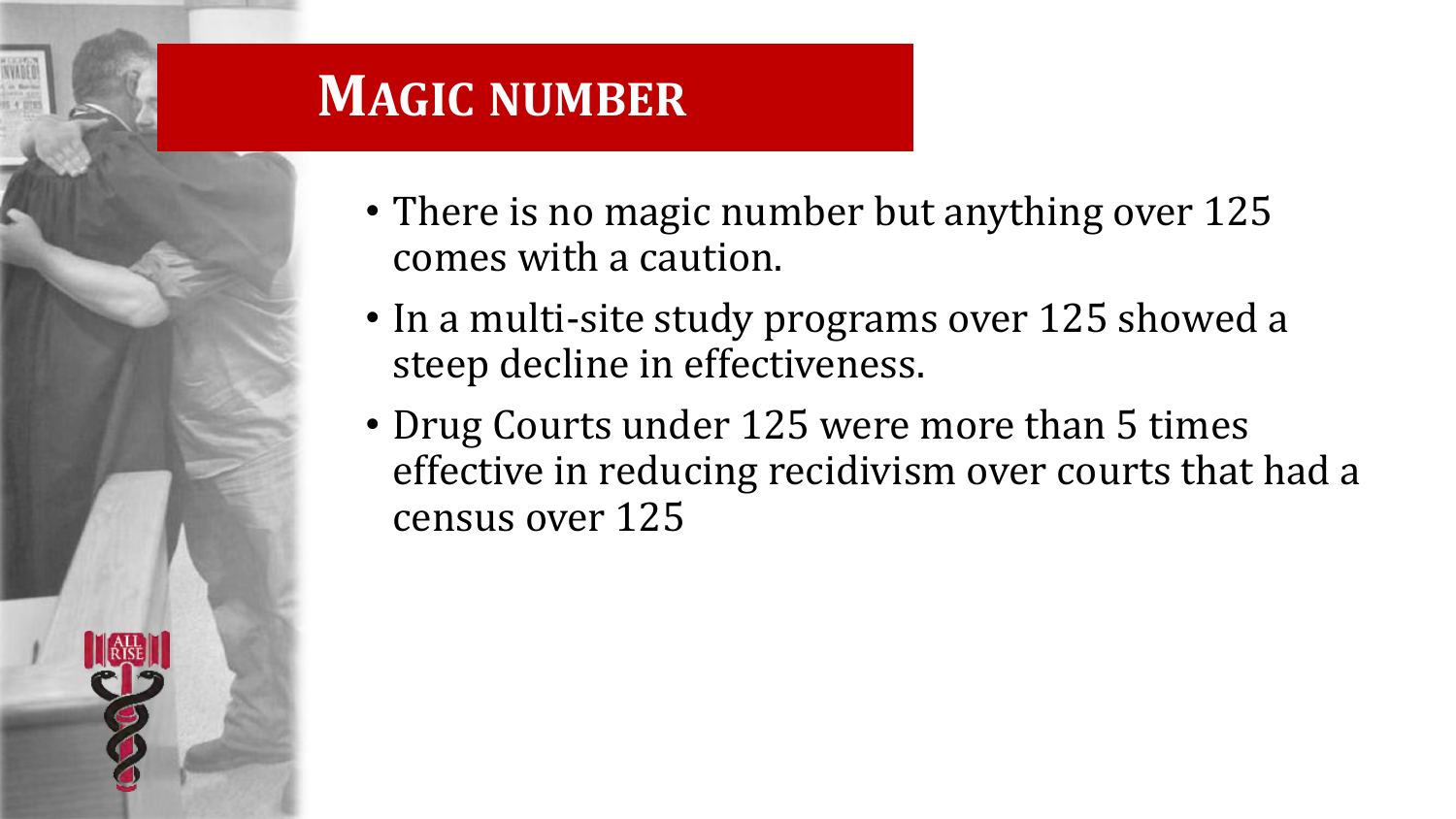#### **MAGIC NUMBER**

- There is no magic number but anything over 125 comes with a caution.
- In a multi-site study programs over 125 showed a steep decline in effectiveness.
- Drug Courts under 125 were more than 5 times effective in reducing recidivism over courts that had a census over 125

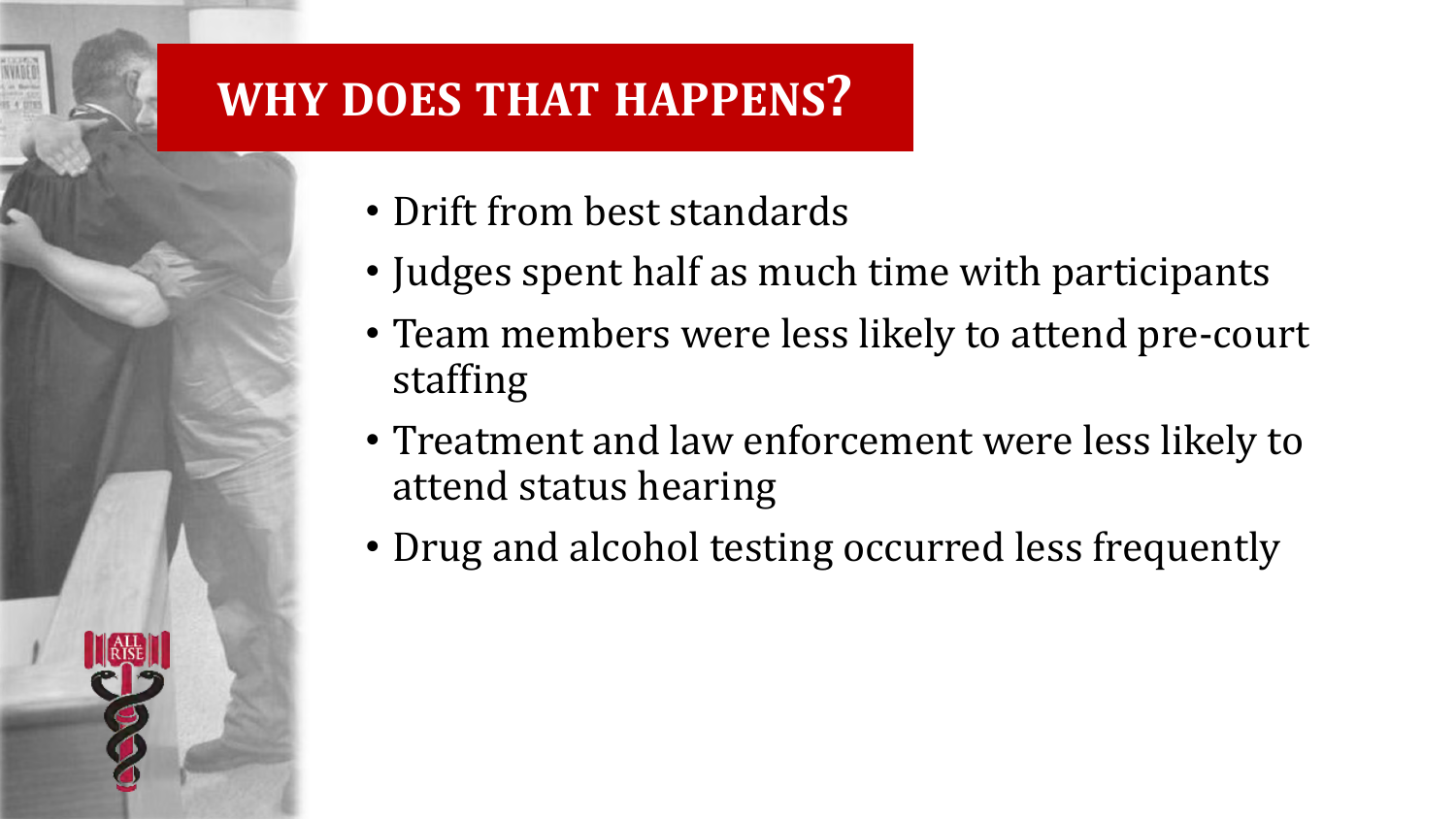#### **WHY DOES THAT HAPPENS?**

- Drift from best standards
- Judges spent half as much time with participants
- Team members were less likely to attend pre-court staffing
- Treatment and law enforcement were less likely to attend status hearing
- Drug and alcohol testing occurred less frequently

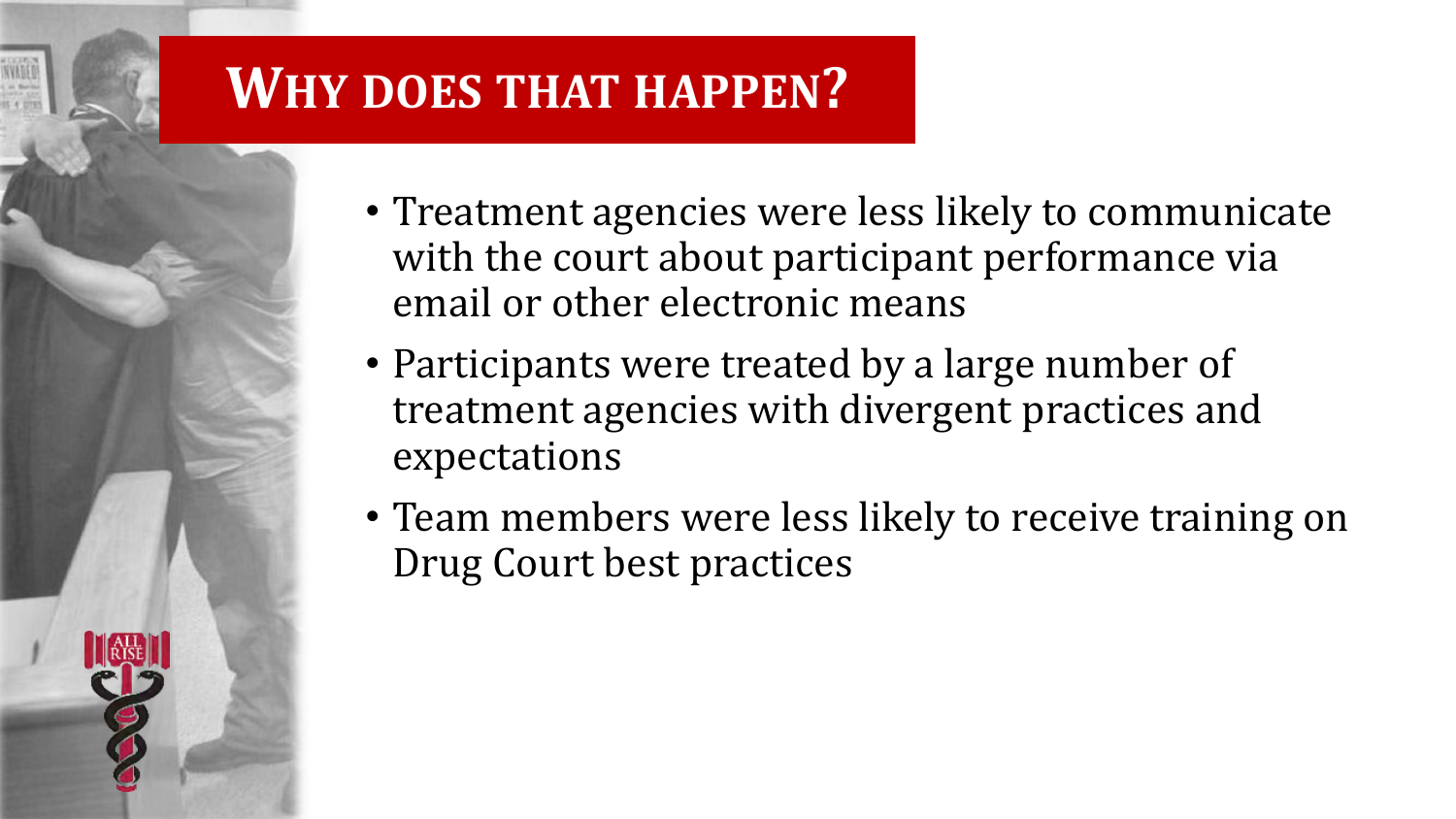#### **WHY DOES THAT HAPPEN?**

- Treatment agencies were less likely to communicate with the court about participant performance via email or other electronic means
- Participants were treated by a large number of treatment agencies with divergent practices and expectations
- Team members were less likely to receive training on Drug Court best practices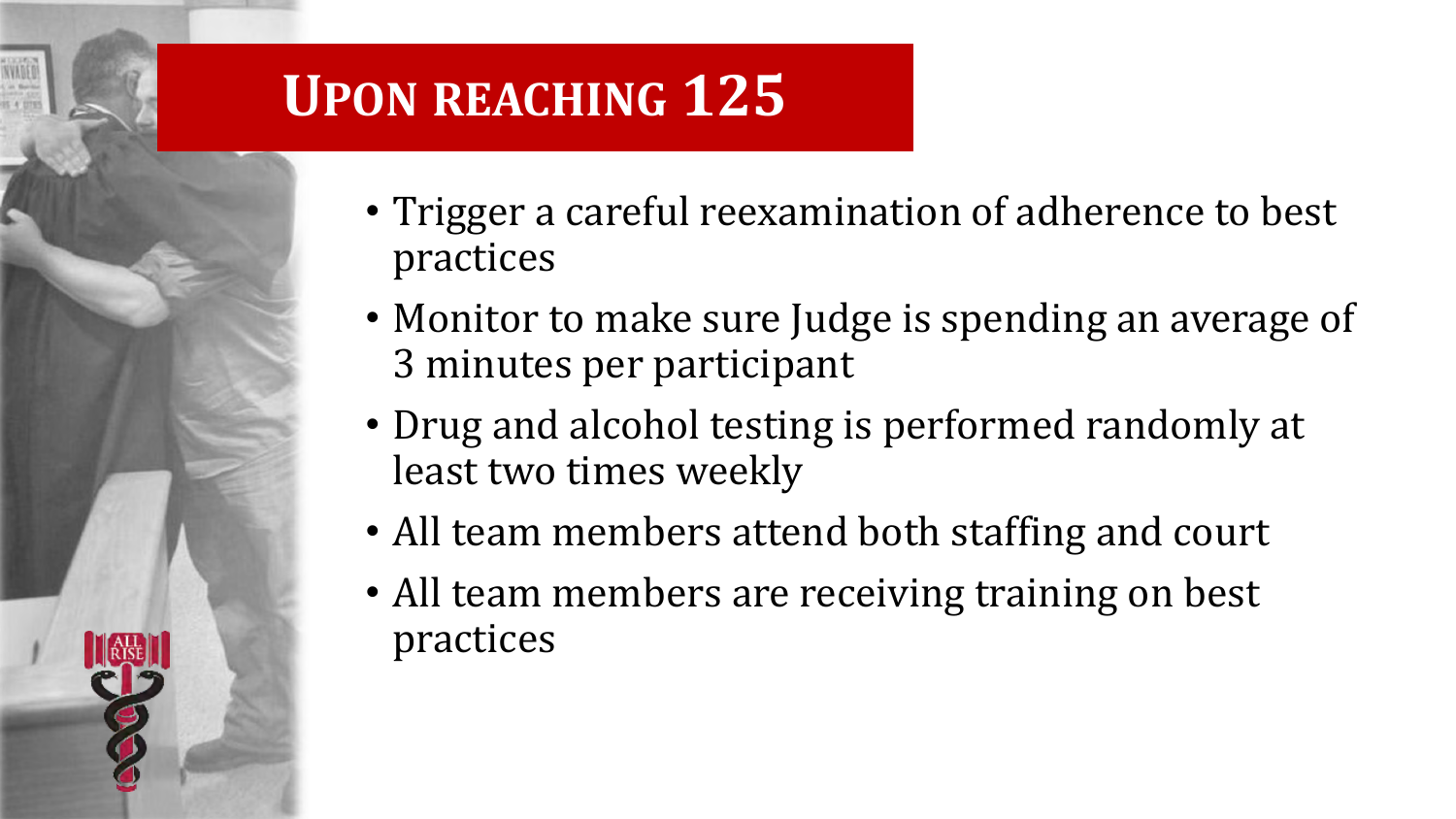#### **UPON REACHING 125**

- Trigger a careful reexamination of adherence to best practices
- Monitor to make sure Judge is spending an average of 3 minutes per participant
- Drug and alcohol testing is performed randomly at least two times weekly
- All team members attend both staffing and court
- All team members are receiving training on best practices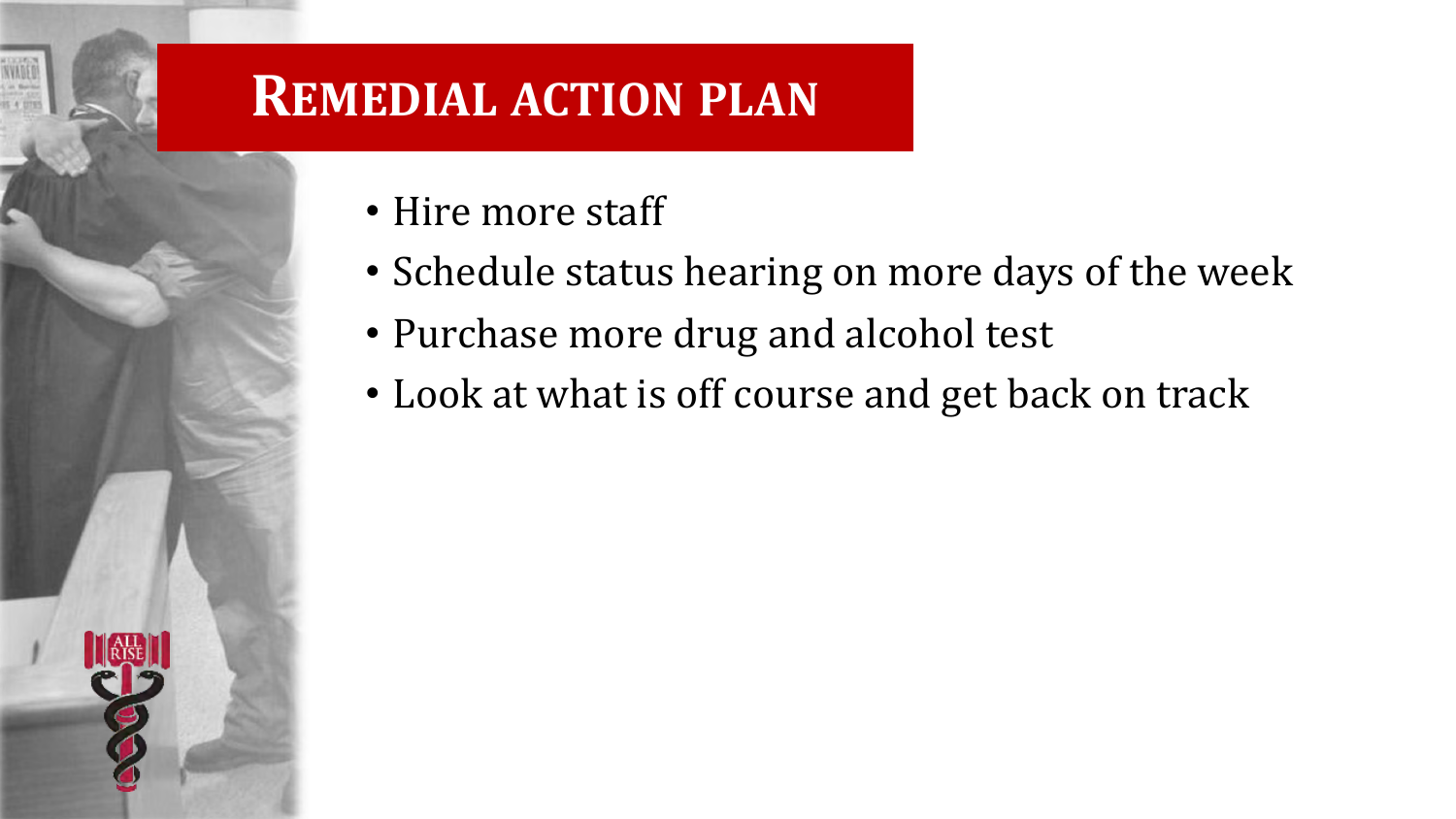#### **REMEDIAL ACTION PLAN**

- Hire more staff
- Schedule status hearing on more days of the week
- Purchase more drug and alcohol test
- Look at what is off course and get back on track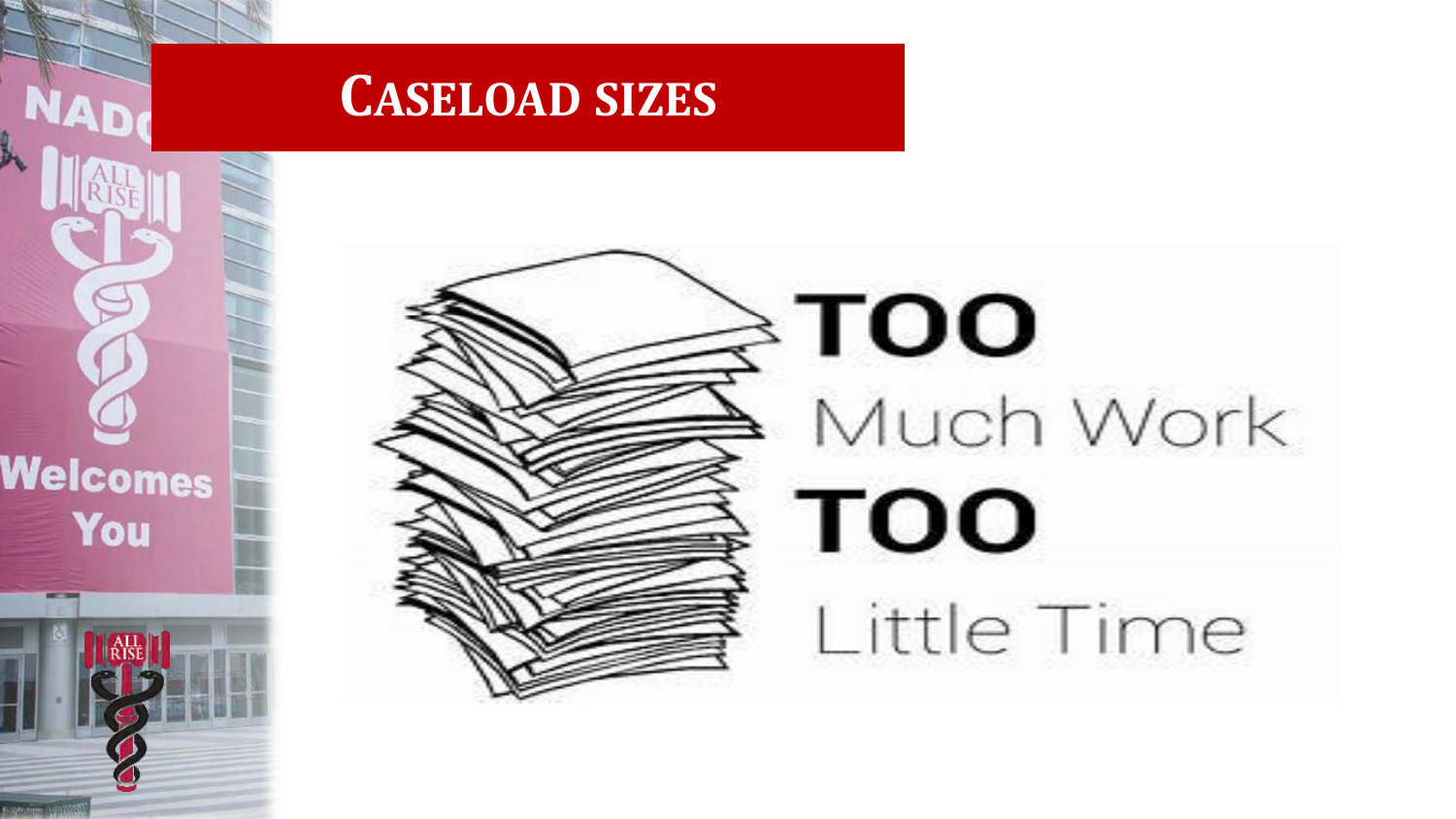

**NAD** 

Welcomes

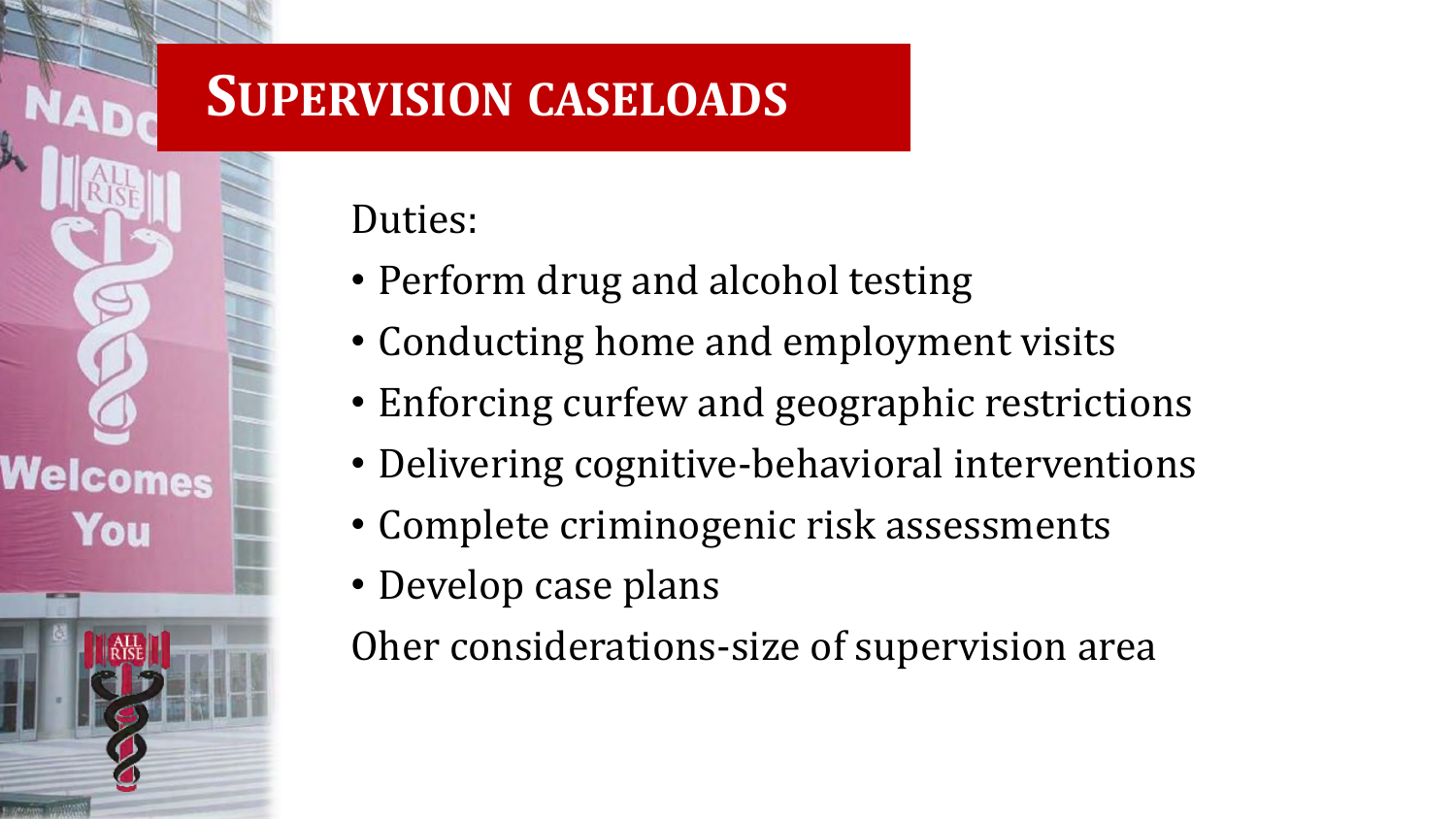#### **SUPERVISION CASELOADS**

Duties:

Welcomes

You

- Perform drug and alcohol testing
- Conducting home and employment visits
- Enforcing curfew and geographic restrictions
- Delivering cognitive-behavioral interventions
- Complete criminogenic risk assessments
- Develop case plans

Oher considerations-size of supervision area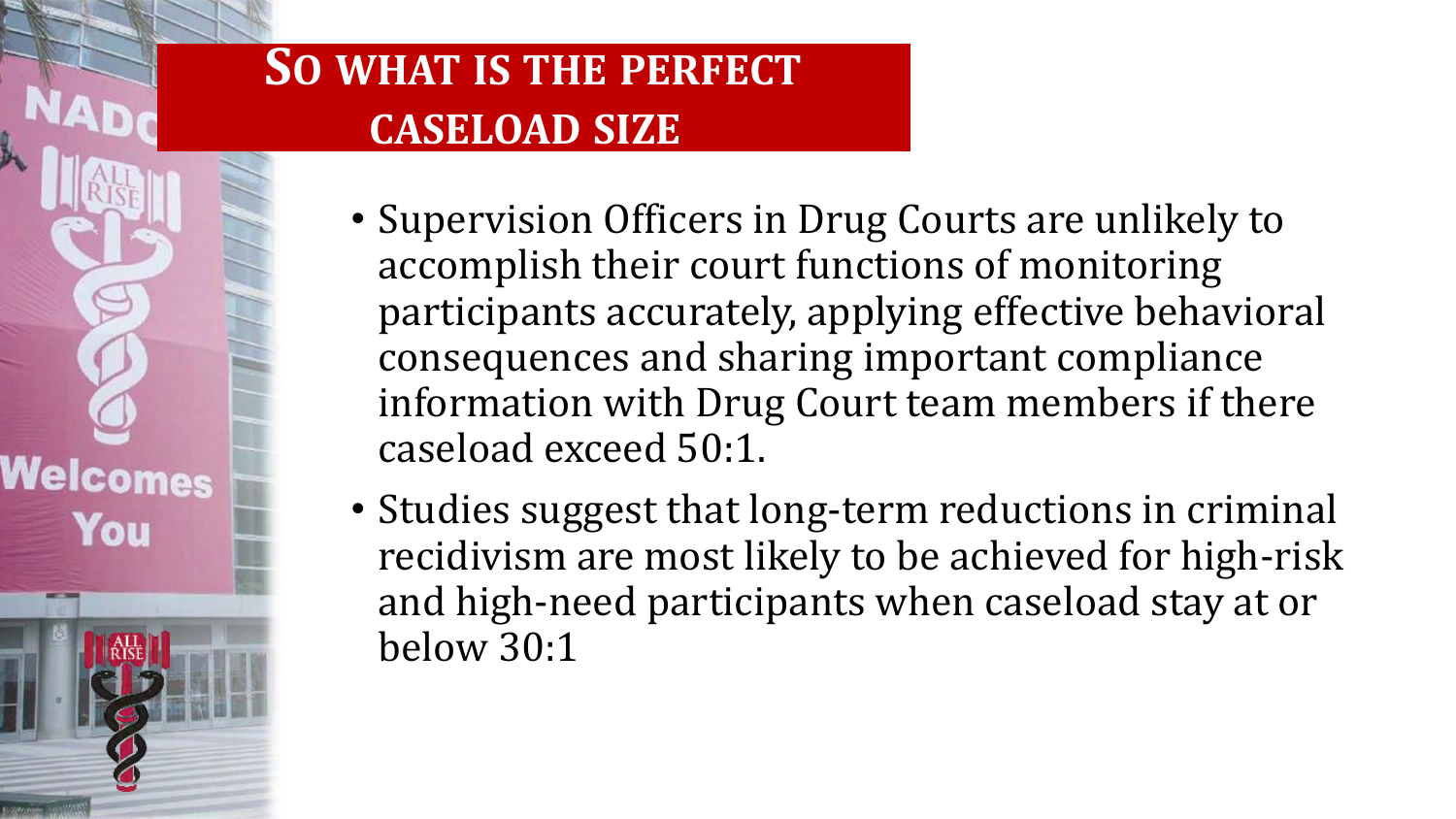#### **SO WHAT IS THE PERFECT CASELOAD SIZE**

Welcomes

- Supervision Officers in Drug Courts are unlikely to accomplish their court functions of monitoring participants accurately, applying effective behavioral consequences and sharing important compliance information with Drug Court team members if there caseload exceed 50:1.
- Studies suggest that long-term reductions in criminal recidivism are most likely to be achieved for high-risk and high-need participants when caseload stay at or below 30:1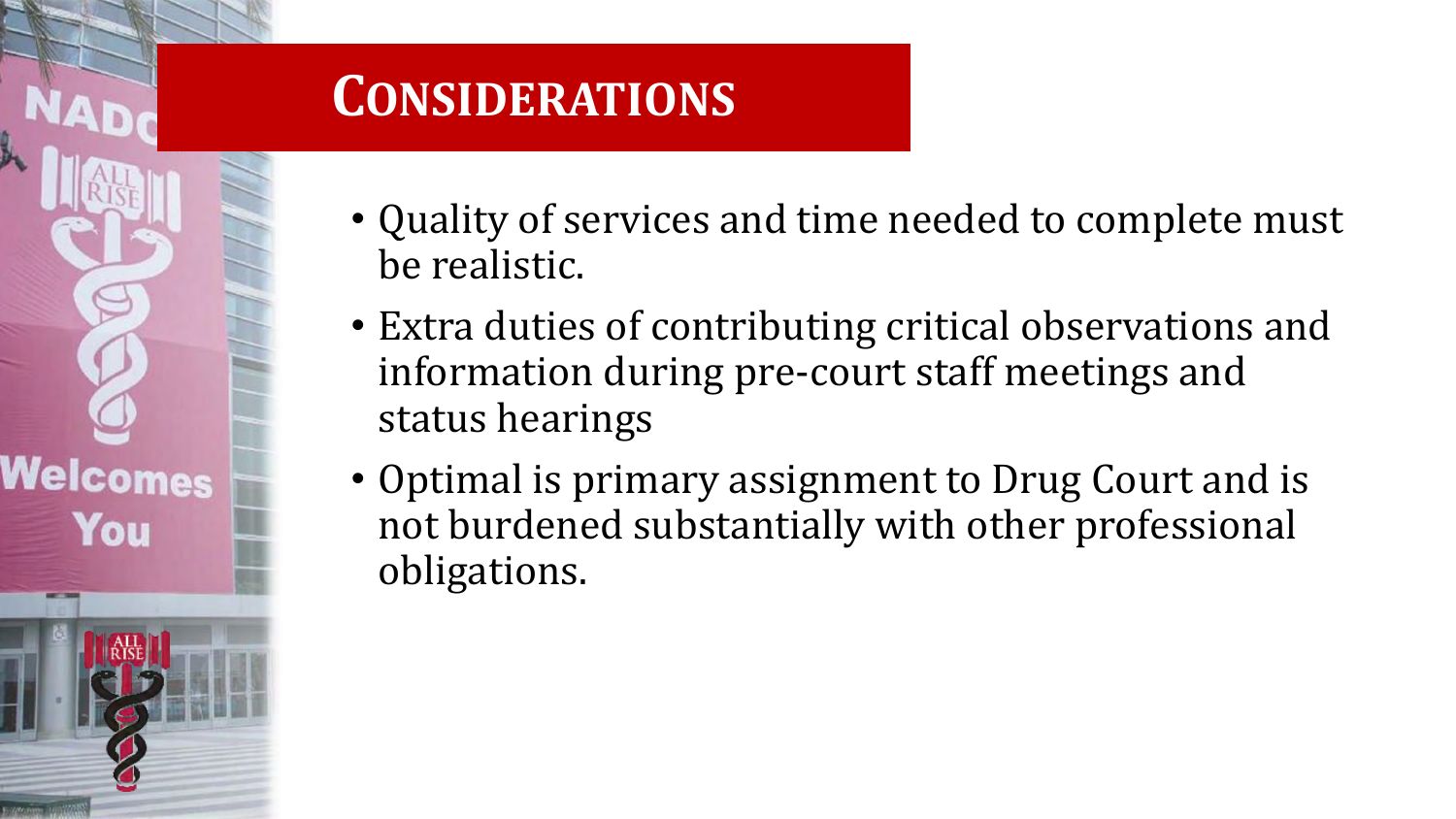#### **CONSIDERATIONS**

Welcomes You

- Quality of services and time needed to complete must be realistic.
- Extra duties of contributing critical observations and information during pre-court staff meetings and status hearings
- Optimal is primary assignment to Drug Court and is not burdened substantially with other professional obligations.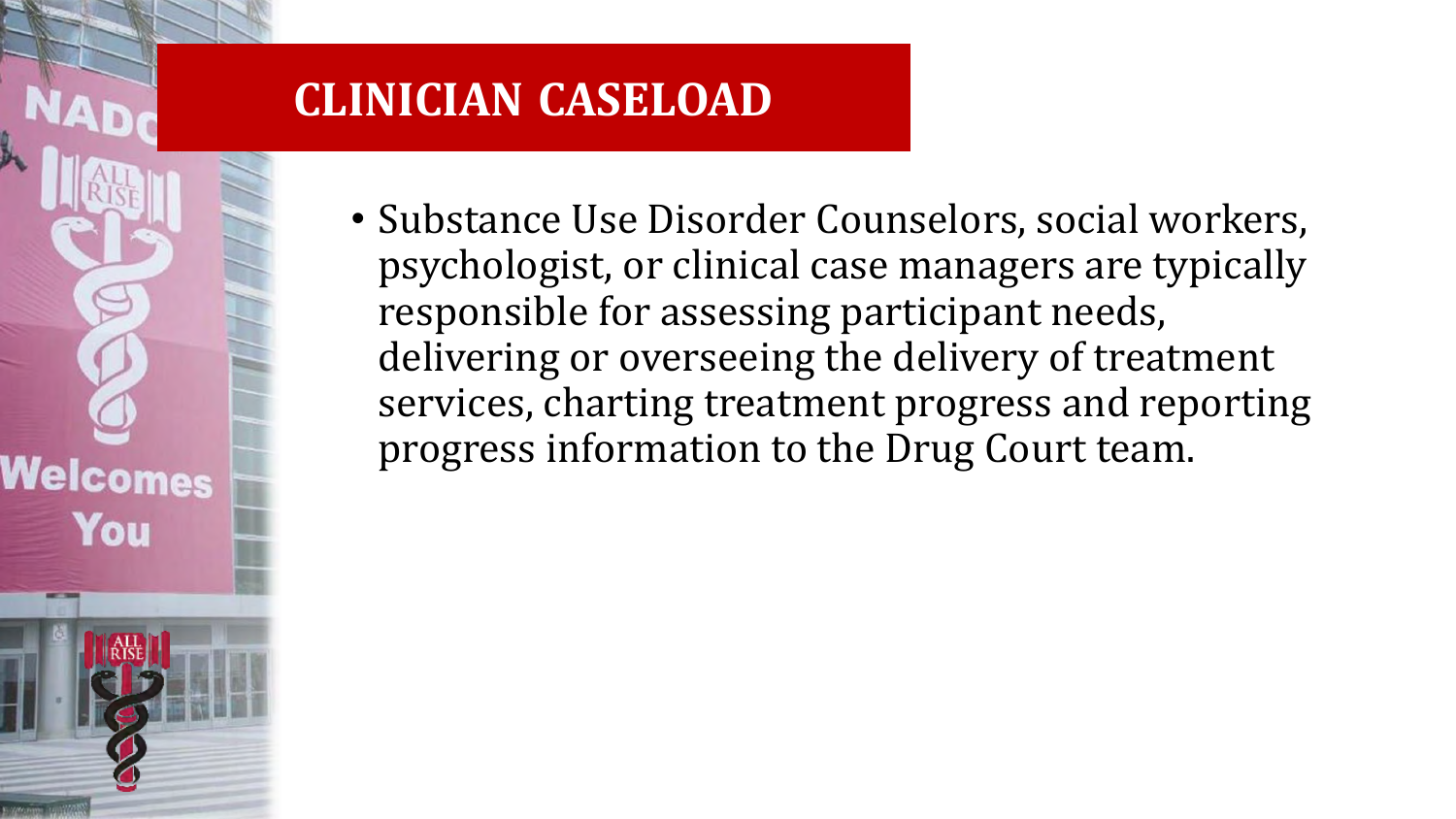#### **CLINICIAN CASELOAD**

Welcomes

You

• Substance Use Disorder Counselors, social workers, psychologist, or clinical case managers are typically responsible for assessing participant needs, delivering or overseeing the delivery of treatment services, charting treatment progress and reporting progress information to the Drug Court team.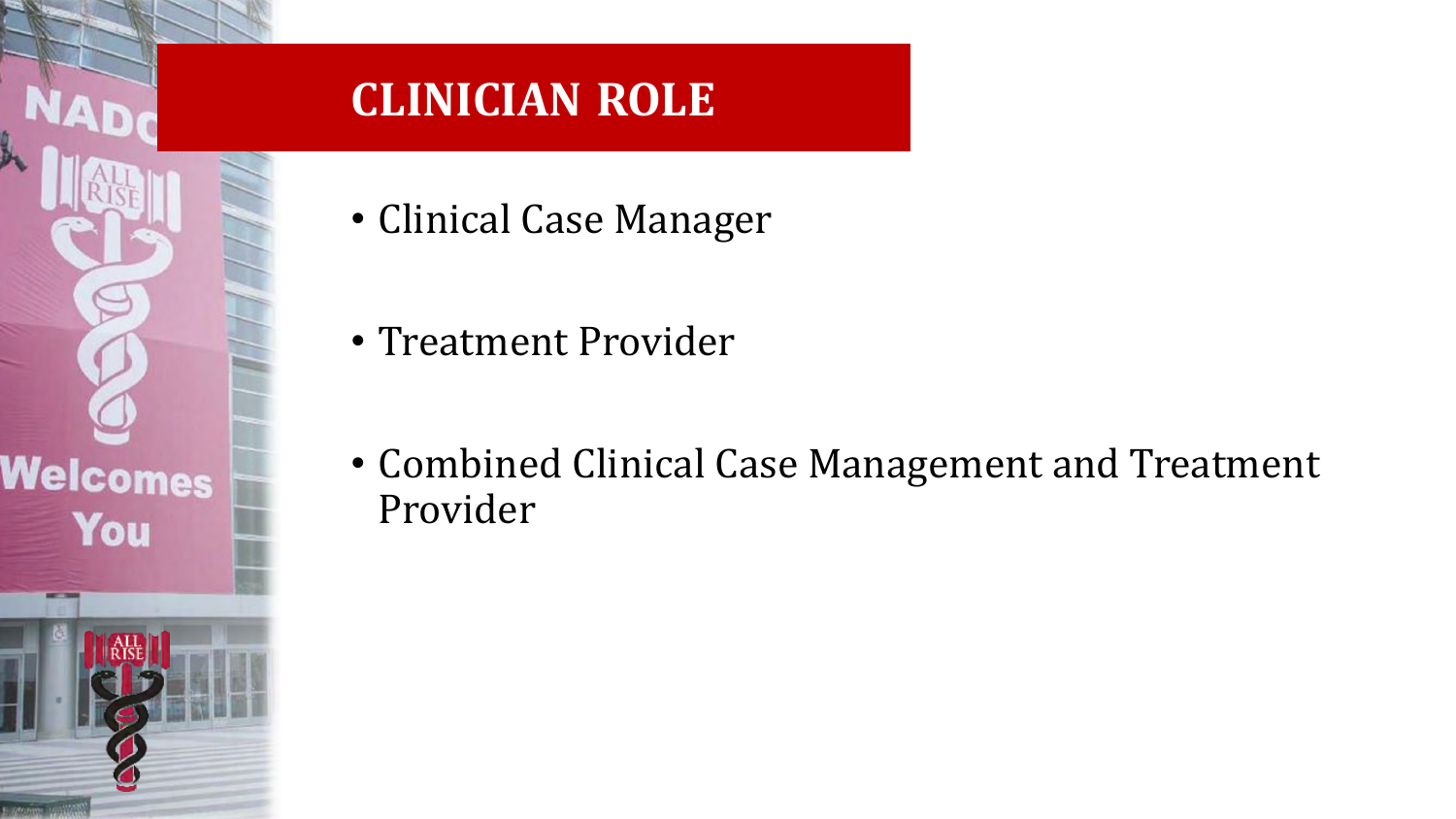# Welcomes You

#### **CLINICIAN ROLE**

- Clinical Case Manager
- Treatment Provider
- Combined Clinical Case Management and Treatment Provider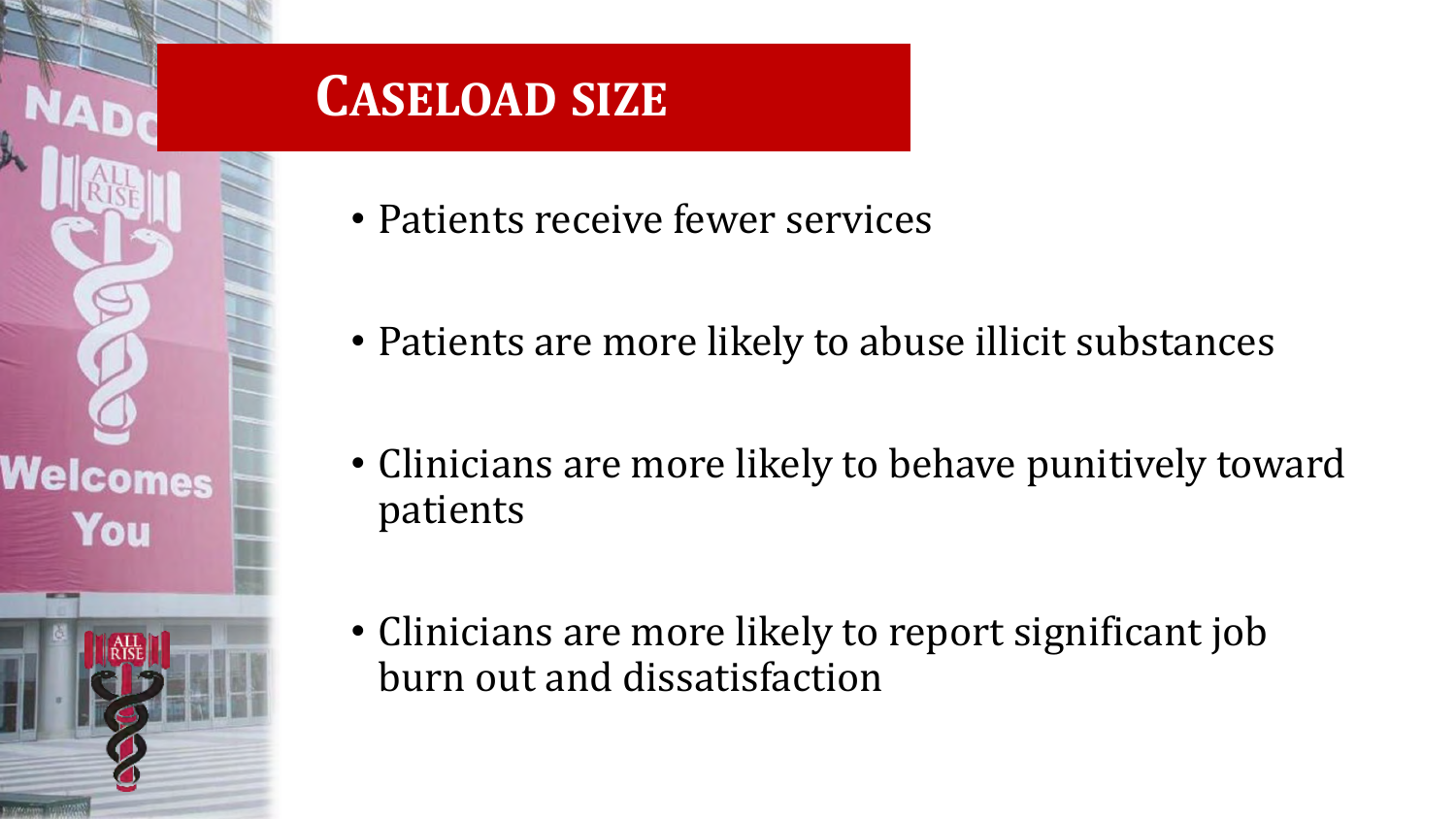#### **CASELOAD SIZE**

Welcomes

- Patients receive fewer services
- Patients are more likely to abuse illicit substances
- Clinicians are more likely to behave punitively toward patients
- Clinicians are more likely to report significant job burn out and dissatisfaction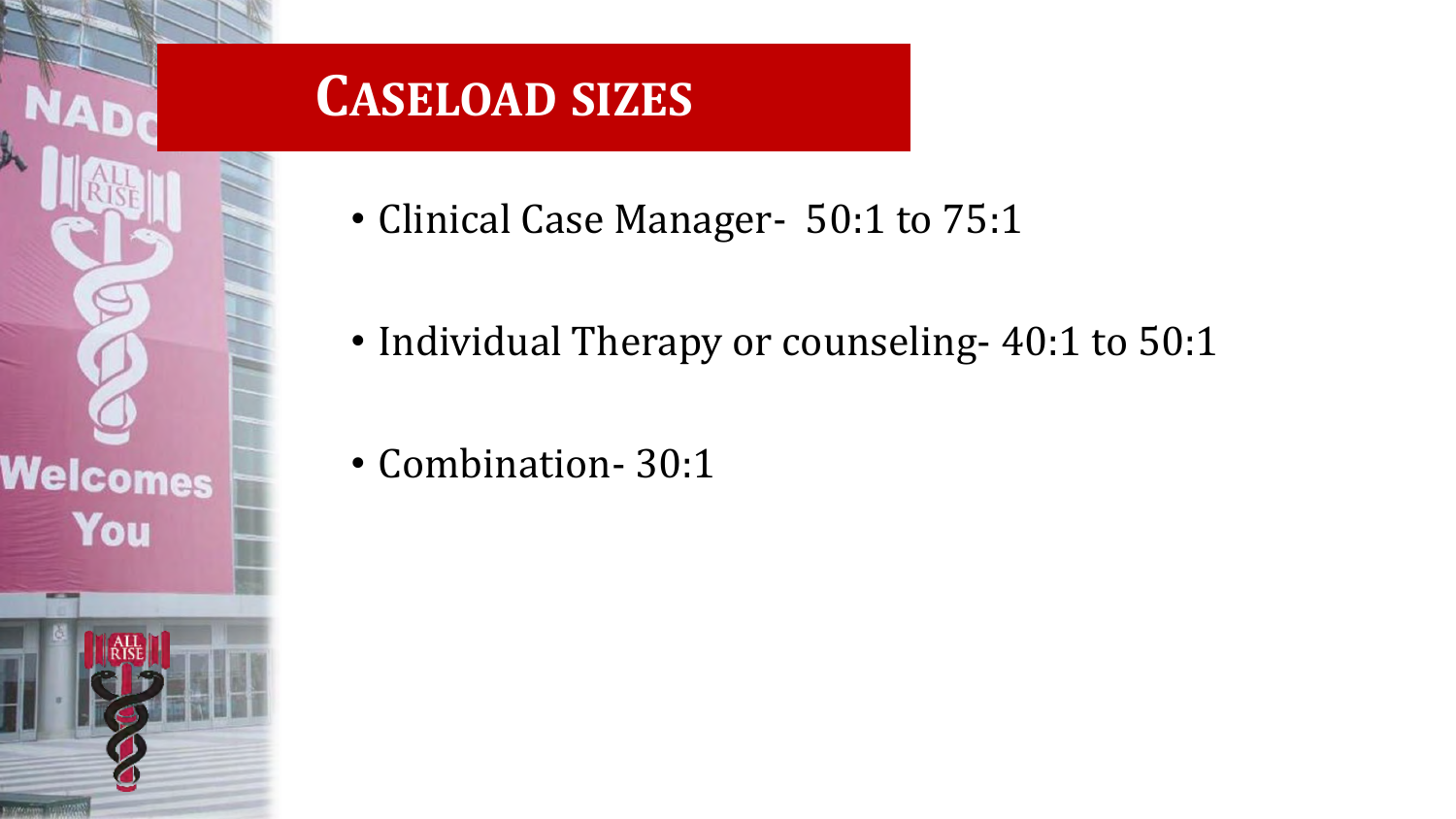#### **CASELOAD SIZES**

• Clinical Case Manager- 50:1 to 75:1

- Individual Therapy or counseling- 40:1 to 50:1
- Combination- 30:1

Welcomes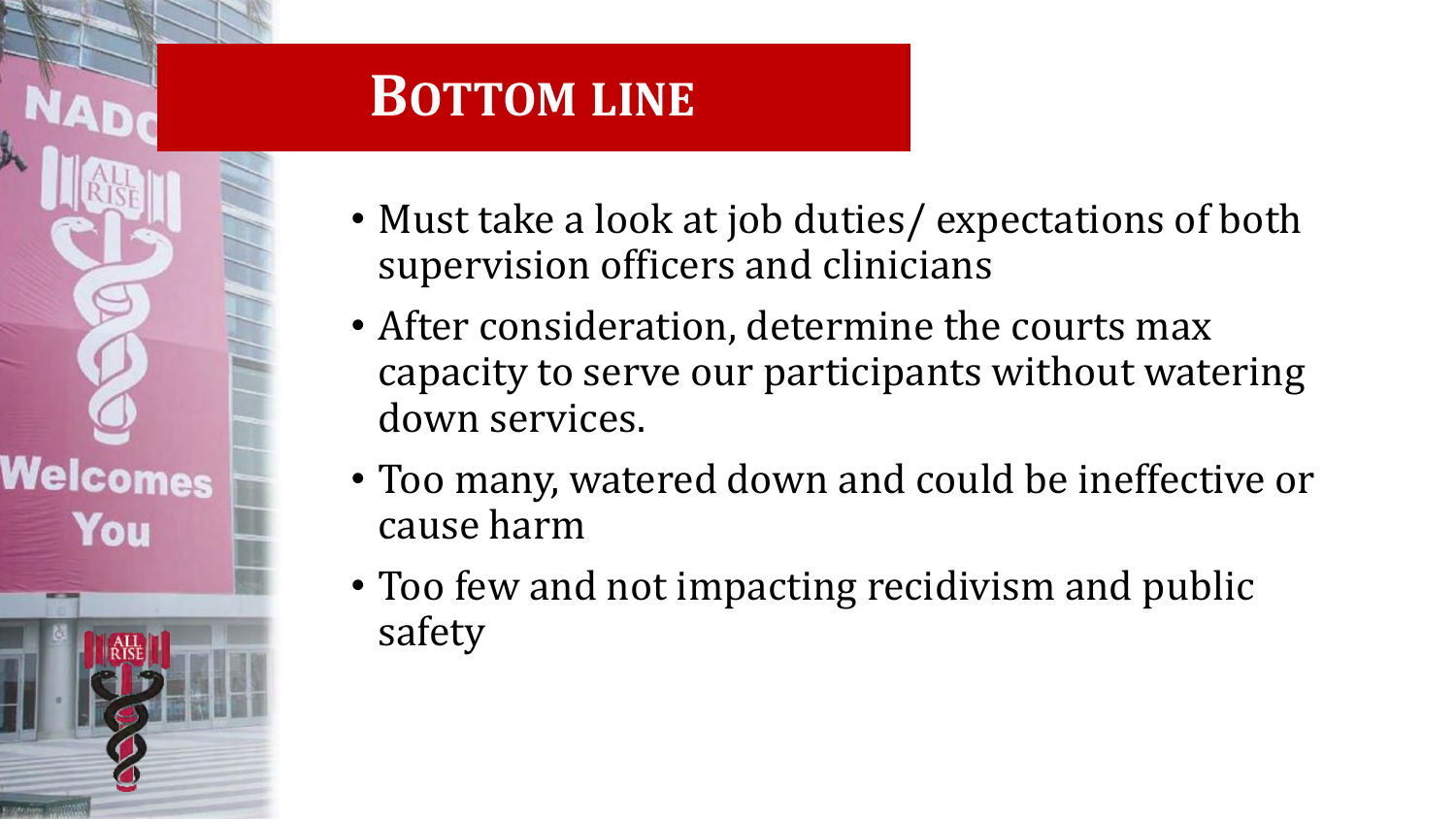# Welcomes You

#### • Must take a look at job duties/ expectations of both supervision officers and clinicians

**BOTTOM LINE**

- After consideration, determine the courts max capacity to serve our participants without watering down services.
- Too many, watered down and could be ineffective or cause harm
- Too few and not impacting recidivism and public safety